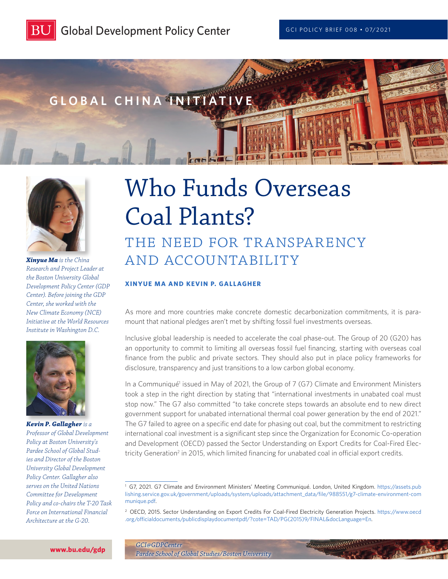





*Xinyue Ma is the China Research and Project Leader at the Boston University Global Development Policy Center (GDP Center). Before joining the GDP Center, she worked with the New Climate Economy (NCE) Initiative at the World Resources Institute in Washington D.C.*



*Kevin P. Gallagher is a Professor of Global Development Policy at Boston University's Pardee School of Global Studies and Director of the Boston University Global Development Policy Center. Gallagher also serves on the United Nations Committee for Development Policy and co-chairs the T-20 Task Force on International Financial Architecture at the G-20.*

# Who Funds Overseas Coal Plants?

## THE NEED FOR TRANSPARENCY and Accountability

#### **XINYUE MA AND KEVIN P. GALLAGHER**

As more and more countries make concrete domestic decarbonization commitments, it is paramount that national pledges aren't met by shifting fossil fuel investments overseas.

Inclusive global leadership is needed to accelerate the coal phase-out. The Group of 20 (G20) has an opportunity to commit to limiting all overseas fossil fuel financing, starting with overseas coal finance from the public and private sectors. They should also put in place policy frameworks for disclosure, transparency and just transitions to a low carbon global economy.

In a Communiqué<sup>1</sup> issued in May of 2021, the Group of 7 (G7) Climate and Environment Ministers took a step in the right direction by stating that "international investments in unabated coal must stop now." The G7 also committed "to take concrete steps towards an absolute end to new direct government support for unabated international thermal coal power generation by the end of 2021." The G7 failed to agree on a specific end date for phasing out coal, but the commitment to restricting international coal investment is a significant step since the Organization for Economic Co-operation and Development (OECD) passed the Sector Understanding on Export Credits for Coal-Fired Electricity Generation<sup>2</sup> in 2015, which limited financing for unabated coal in official export credits.

Recommendable

<sup>1</sup> G7, 2021. G7 Climate and Environment Ministers' Meeting Communiqué. London, United Kingdom. [https://assets.pub](https://assets.publishing.service.gov.uk/government/uploads/system/uploads/attachment_data/file/988551/g7-climate-environment-communique.pdf) [lishing.service.gov.uk/government/uploads/system/uploads/attachment\\_data/file/988551/g7-climate-environment-com](https://assets.publishing.service.gov.uk/government/uploads/system/uploads/attachment_data/file/988551/g7-climate-environment-communique.pdf) [munique.pdf.](https://assets.publishing.service.gov.uk/government/uploads/system/uploads/attachment_data/file/988551/g7-climate-environment-communique.pdf)

<sup>2</sup> OECD, 2015. Sector Understanding on Export Credits For Coal-Fired Electricity Generation Projects. [https://www.oecd](https://www.oecd.org/officialdocuments/publicdisplaydocumentpdf/?cote=TAD/PG(2015)9/FINAL&docLanguage=En) [.org/officialdocuments/publicdisplaydocumentpdf/?cote=TAD/PG\(2015\)9/FINAL&docLanguage=En.](https://www.oecd.org/officialdocuments/publicdisplaydocumentpdf/?cote=TAD/PG(2015)9/FINAL&docLanguage=En)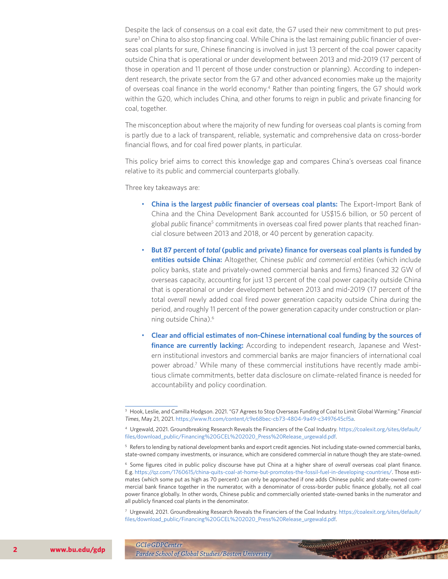Despite the lack of consensus on a coal exit date, the G7 used their new commitment to put pressure<sup>3</sup> on China to also stop financing coal. While China is the last remaining public financier of overseas coal plants for sure, Chinese financing is involved in just 13 percent of the coal power capacity outside China that is operational or under development between 2013 and mid-2019 (17 percent of those in operation and 11 percent of those under construction or planning). According to independent research, the private sector from the G7 and other advanced economies make up the majority of overseas coal finance in the world economy.4 Rather than pointing fingers, the G7 should work within the G20, which includes China, and other forums to reign in public and private financing for coal, together.

The misconception about where the majority of new funding for overseas coal plants is coming from is partly due to a lack of transparent, reliable, systematic and comprehensive data on cross-border financial flows, and for coal fired power plants, in particular.

This policy brief aims to correct this knowledge gap and compares China's overseas coal finance relative to its public and commercial counterparts globally.

Three key takeaways are:

- **China is the largest** *public* **financier of overseas coal plants:** The Export-Import Bank of China and the China Development Bank accounted for US\$15.6 billion, or 50 percent of global *public* finance<sup>5</sup> commitments in overseas coal fired power plants that reached financial closure between 2013 and 2018, or 40 percent by generation capacity.
- **But 87 percent of** *total* **(public and private) finance for overseas coal plants is funded by entities outside China:** Altogether, Chinese *public and commercial entities* (which include policy banks, state and privately-owned commercial banks and firms) financed 32 GW of overseas capacity, accounting for just 13 percent of the coal power capacity outside China that is operational or under development between 2013 and mid-2019 (17 percent of the total *overall* newly added coal fired power generation capacity outside China during the period, and roughly 11 percent of the power generation capacity under construction or planning outside China).6
- **Clear and official estimates of non-Chinese international coal funding by the sources of finance are currently lacking:** According to independent research, Japanese and Western institutional investors and commercial banks are major financiers of international coal power abroad.7 While many of these commercial institutions have recently made ambitious climate commitments, better data disclosure on climate-related finance is needed for accountability and policy coordination.

<sup>3</sup> Hook, Leslie, and Camilla Hodgson. 2021. "G7 Agrees to Stop Overseas Funding of Coal to Limit Global Warming." *Financial Times*, May 21, 2021. [https://www.ft.com/content/c9e68bec-cb73-4804-9a49-c3497645cf5a.](https://www.ft.com/content/c9e68bec-cb73-4804-9a49-c3497645cf5a)

<sup>4</sup> Urgewald, 2021. Groundbreaking Research Reveals the Financiers of the Coal Industry. [https://coalexit.org/sites/default/](https://coalexit.org/sites/default/files/download_public/Financing%20GCEL%202020_Press%20Release_urgewald.pdf) [files/download\\_public/Financing%20GCEL%202020\\_Press%20Release\\_urgewald.pdf.](https://coalexit.org/sites/default/files/download_public/Financing%20GCEL%202020_Press%20Release_urgewald.pdf)

<sup>&</sup>lt;sup>5</sup> Refers to lending by national development banks and export credit agencies. Not including state-owned commercial banks, state-owned company investments, or insurance, which are considered commercial in nature though they are state-owned.

<sup>6</sup> Some figures cited in public policy discourse have put China at a higher share of *overall* overseas coal plant finance. E.g. [https://qz.com/1760615/china-quits-coal-at-home-but-promotes-the-fossil-fuel-in-developing-countries/.](https://qz.com/1760615/china-quits-coal-at-home-but-promotes-the-fossil-fuel-in-developing-countries/) Those estimates (which some put as high as 70 percent) can only be approached if one adds Chinese public and state-owned commercial bank finance together in the numerator, with a denominator of cross-border public finance globally, not all coal power finance globally. In other words, Chinese public and commercially oriented state-owned banks in the numerator and all publicly financed coal plants in the denominator.

<sup>7</sup> Urgewald, 2021. Groundbreaking Research Reveals the Financiers of the Coal Industry. [https://coalexit.org/sites/default/](https://coalexit.org/sites/default/files/download_public/Financing%20GCEL%202020_Press%20Release_urgewald.pdf) [files/download\\_public/Financing%20GCEL%202020\\_Press%20Release\\_urgewald.pdf.](https://coalexit.org/sites/default/files/download_public/Financing%20GCEL%202020_Press%20Release_urgewald.pdf)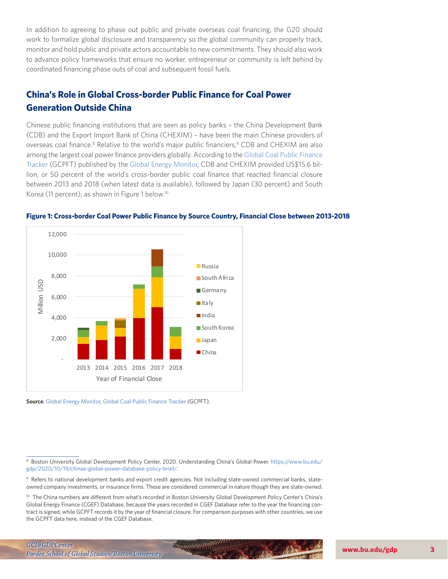In addition to agreeing to phase out public and private overseas coal financing, the G20 should work to formalize global disclosure and transparency so the global community can properly track, monitor and hold public and private actors accountable to new commitments. They should also work to advance policy frameworks that ensure no worker, entrepreneur or community is left behind by coordinated financing phase outs of coal and subsequent fossil fuels.

## **China's Role in Global Cross-border Public Finance for Coal Power Generation Outside China**

Chinese public financing institutions that are seen as policy banks – the China Development Bank (CDB) and the Export Import Bank of China (CHEXIM) – have been the main Chinese providers of overseas coal finance.<sup>8</sup> Relative to the world's major public financiers,<sup>9</sup> CDB and CHEXIM are also among the largest coal power finance providers globally. According to the [Global Coal Public Finance](https://globalenergymonitor.org/projects/global-coal-plant-tracker/tracker/) [Tracker](https://globalenergymonitor.org/projects/global-coal-plant-tracker/tracker/) (GCPFT) published by the [Global Energy Monitor,](https://globalenergymonitor.org/) CDB and CHEXIM provided US\$15.6 billion, or 50 percent of the world's cross-border public coal finance that reached financial closure between 2013 and 2018 (when latest data is available), followed by Japan (30 percent) and South Korea (11 percent), as shown in Figure 1 below.10



### **Figure 1: Cross-border Coal Power Public Finance by Source Country, Financial Close between 2013-2018**

**Source**: [Global Energy Monitor](https://globalenergymonitor.org/), [Global Coal Public Finance Tracker](https://globalenergymonitor.org/projects/global-coal-plant-tracker/tracker/) (GCPFT).

9 Refers to national development banks and export credit agencies. Not including state-owned commercial banks, stateowned company investments, or insurance firms. These are considered commercial in nature though they are state-owned.

<sup>10</sup> The China numbers are different from what's recorded in Boston University Global Development Policy Center's China's Global Energy Finance (CGEF) Database, because the years recorded in CGEF Database refer to the year the financing contract is signed, while GCPFT records it by the year of financial closure. For comparison purposes with other countries, we use the GCPFT data here, instead of the CGEF Database.

<sup>8</sup> Boston University Global Development Policy Center, 2020. Understanding China's Global Power. [https://www.bu.edu/](https://www.bu.edu/gdp/2020/10/19/chinas-global-power-database-policy-brief/) [gdp/2020/10/19/chinas-global-power-database-policy-brief/.](https://www.bu.edu/gdp/2020/10/19/chinas-global-power-database-policy-brief/)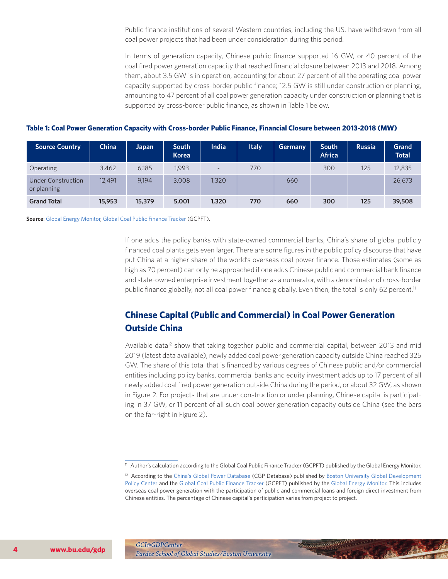Public finance institutions of several Western countries, including the US, have withdrawn from all coal power projects that had been under consideration during this period.

In terms of generation capacity, Chinese public finance supported 16 GW, or 40 percent of the coal fired power generation capacity that reached financial closure between 2013 and 2018. Among them, about 3.5 GW is in operation, accounting for about 27 percent of all the operating coal power capacity supported by cross-border public finance; 12.5 GW is still under construction or planning, amounting to 47 percent of all coal power generation capacity under construction or planning that is supported by cross-border public finance, as shown in Table 1 below.

| <b>Source Country</b>                    | China  | Japan  | <b>South</b><br><b>Korea</b> | India                    | <b>Italy</b> | <b>Germany</b> | <b>South</b><br><b>Africa</b> | <b>Russia</b> | Grand<br><b>Total</b> |
|------------------------------------------|--------|--------|------------------------------|--------------------------|--------------|----------------|-------------------------------|---------------|-----------------------|
| Operating                                | 3,462  | 6,185  | 1.993                        | $\overline{\phantom{a}}$ | 770          |                | 300                           | 125           | 12,835                |
| <b>Under Construction</b><br>or planning | 12,491 | 9.194  | 3,008                        | 1,320                    |              | 660            |                               |               | 26,673                |
| <b>Grand Total</b>                       | 15,953 | 15,379 | 5,001                        | 1,320                    | 770          | 660            | 300                           | 125           | 39,508                |

## **Table 1: Coal Power Generation Capacity with Cross-border Public Finance, Financial Closure between 2013-2018 (MW)**

**Source**: [Global Energy Monitor](https://globalenergymonitor.org/), [Global Coal Public Finance Tracker](https://globalenergymonitor.org/projects/global-coal-plant-tracker/tracker/) (GCPFT).

If one adds the policy banks with state-owned commercial banks, China's share of global publicly financed coal plants gets even larger. There are some figures in the public policy discourse that have put China at a higher share of the world's overseas coal power finance. Those estimates (some as high as 70 percent) can only be approached if one adds Chinese public and commercial bank finance and state-owned enterprise investment together as a numerator, with a denominator of cross-border public finance globally, not all coal power finance globally. Even then, the total is only 62 percent.<sup>11</sup>

## **Chinese Capital (Public and Commercial) in Coal Power Generation Outside China**

Available data<sup>12</sup> show that taking together public and commercial capital, between 2013 and mid 2019 (latest data available), newly added coal power generation capacity outside China reached 325 GW. The share of this total that is financed by various degrees of Chinese public and/or commercial entities including policy banks, commercial banks and equity investment adds up to 17 percent of all newly added coal fired power generation outside China during the period, or about 32 GW, as shown in Figure 2. For projects that are under construction or under planning, Chinese capital is participating in 37 GW, or 11 percent of all such coal power generation capacity outside China (see the bars on the far-right in Figure 2).

Recommendable



<sup>&</sup>lt;sup>11</sup> Author's calculation according to the Global Coal Public Finance Tracker (GCPFT) published by the Global Energy Monitor.

<sup>&</sup>lt;sup>12</sup> According to the [China's Global Power Database](https://www.bu.edu/cgp/) (CGP Database) published by Boston University Global Development [Policy Center](https://www.bu.edu/gdp/) and the [Global Coal Public Finance Tracker](https://globalenergymonitor.org/projects/global-coal-plant-tracker/tracker/) (GCPFT) published by the [Global Energy Monitor](https://globalenergymonitor.org/). This includes overseas coal power generation with the participation of public and commercial loans and foreign direct investment from Chinese entities. The percentage of Chinese capital's participation varies from project to project.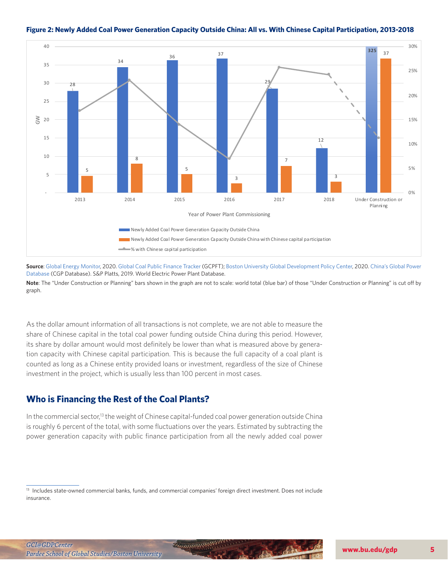

## **Figure 2: Newly Added Coal Power Generation Capacity Outside China: All vs. With Chinese Capital Participation, 2013-2018**

As the dollar amount information of all transactions is not complete, we are not able to measure the share of Chinese capital in the total coal power funding outside China during this period. However, its share by dollar amount would most definitely be lower than what is measured above by generation capacity with Chinese capital participation. This is because the full capacity of a coal plant is counted as long as a Chinese entity provided loans or investment, regardless of the size of Chinese investment in the project, which is usually less than 100 percent in most cases.

## **Who is Financing the Rest of the Coal Plants?**

In the commercial sector,<sup>13</sup> the weight of Chinese capital-funded coal power generation outside China is roughly 6 percent of the total, with some fluctuations over the years. Estimated by subtracting the power generation capacity with public finance participation from all the newly added coal power



**Source**: [Global Energy Monitor,](https://globalenergymonitor.org/) 2020. [Global Coal Public Finance Tracker](https://globalenergymonitor.org/projects/global-coal-plant-tracker/tracker/) (GCPFT); [Boston University Global Development Policy Center](https://www.bu.edu/gdp/), 2020. [China's Global Power](https://www.bu.edu/cgp/)  [Database](https://www.bu.edu/cgp/) (CGP Database). S&P Platts, 2019. World Electric Power Plant Database.

**Note**: The "Under Construction or Planning" bars shown in the graph are not to scale: world total (blue bar) of those "Under Construction or Planning" is cut off by graph.

<sup>&</sup>lt;sup>13</sup> Includes state-owned commercial banks, funds, and commercial companies' foreign direct investment. Does not include insurance.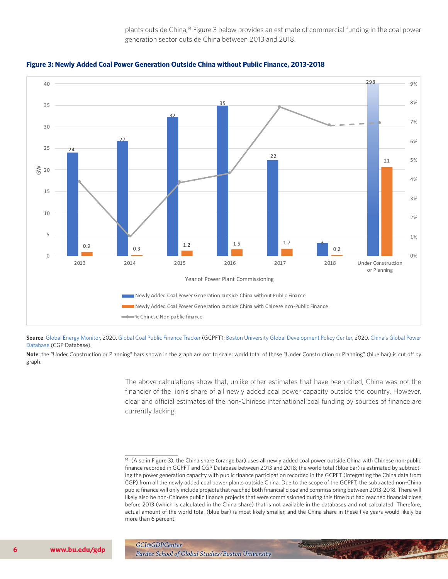plants outside China,<sup>14</sup> Figure 3 below provides an estimate of commercial funding in the coal power generation sector outside China between 2013 and 2018.





**Source**: [Global Energy Monitor,](https://globalenergymonitor.org/) 2020. [Global Coal Public Finance Tracker](https://globalenergymonitor.org/projects/global-coal-plant-tracker/tracker/) (GCPFT); [Boston University Global Development Policy Center](https://www.bu.edu/gdp/), 2020. [China's Global Power](https://www.bu.edu/cgp/)  [Database](https://www.bu.edu/cgp/) (CGP Database).

**Note**: the "Under Construction or Planning" bars shown in the graph are not to scale: world total of those "Under Construction or Planning" (blue bar) is cut off by graph.

> The above calculations show that, unlike other estimates that have been cited, China was not the financier of the lion's share of all newly added coal power capacity outside the country. However, clear and official estimates of the non-Chinese international coal funding by sources of finance are currently lacking.

Recommendable



<sup>&</sup>lt;sup>14</sup> (Also in Figure 3), the China share (orange bar) uses all newly added coal power outside China with Chinese non-public finance recorded in GCPFT and CGP Database between 2013 and 2018; the world total (blue bar) is estimated by subtracting the power generation capacity with public finance participation recorded in the GCPFT (integrating the China data from CGP) from all the newly added coal power plants outside China. Due to the scope of the GCPFT, the subtracted non-China public finance will only include projects that reached both financial close and commissioning between 2013-2018. There will likely also be non-Chinese public finance projects that were commissioned during this time but had reached financial close before 2013 (which is calculated in the China share) that is not available in the databases and not calculated. Therefore, actual amount of the world total (blue bar) is most likely smaller, and the China share in these five years would likely be more than 6 percent.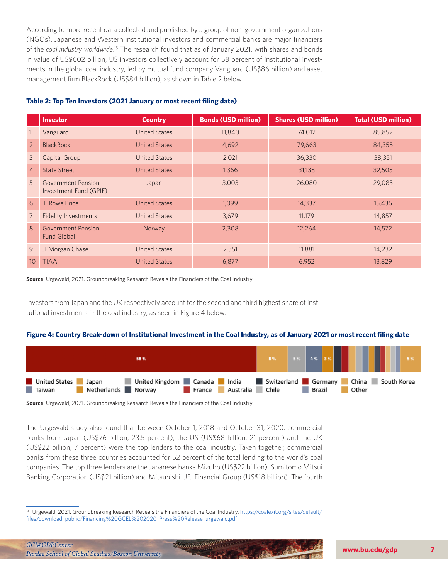According to more recent data collected and published by a group of non-government organizations (NGOs), Japanese and Western institutional investors and commercial banks are major financiers of the *coal industry worldwide*. 15 The research found that as of January 2021, with shares and bonds in value of US\$602 billion, US investors collectively account for 58 percent of institutional investments in the global coal industry, led by mutual fund company Vanguard (US\$86 billion) and asset management firm BlackRock (US\$84 billion), as shown in Table 2 below.

## **Table 2: Top Ten Investors (2021 January or most recent filing date)**

|                 | <b>Investor</b>                                 | <b>Country</b>       | <b>Bonds (USD million)</b> | <b>Shares (USD million)</b> | <b>Total (USD million)</b> |
|-----------------|-------------------------------------------------|----------------------|----------------------------|-----------------------------|----------------------------|
|                 | Vanguard                                        | United States        | 11,840                     | 74,012                      | 85,852                     |
| $\overline{2}$  | <b>BlackRock</b>                                | <b>United States</b> | 4,692                      | 79,663                      | 84,355                     |
| $\mathcal{E}$   | Capital Group                                   | United States        | 2,021                      | 36,330                      | 38,351                     |
| $\overline{4}$  | <b>State Street</b>                             | <b>United States</b> | 1,366                      | 31,138                      | 32,505                     |
| 5 <sup>5</sup>  | Government Pension<br>Investment Fund (GPIF)    | Japan                | 3,003                      | 26,080                      | 29,083                     |
| 6               | T. Rowe Price                                   | <b>United States</b> | 1,099                      | 14,337                      | 15,436                     |
| $\overline{7}$  | <b>Fidelity Investments</b>                     | <b>United States</b> | 3,679                      | 11,179                      | 14,857                     |
| 8               | <b>Government Pension</b><br><b>Fund Global</b> | Norway               | 2,308                      | 12,264                      | 14,572                     |
| 9               | <b>JPMorgan Chase</b>                           | <b>United States</b> | 2,351                      | 11,881                      | 14,232                     |
| 10 <sup>°</sup> | <b>TIAA</b>                                     | <b>United States</b> | 6,877                      | 6,952                       | 13,829                     |

**Source**: Urgewald, 2021. Groundbreaking Research Reveals the Financiers of the Coal Industry.

Investors from Japan and the UK respectively account for the second and third highest share of institutional investments in the coal industry, as seen in Figure 4 below.

### **Figure 4: Country Break-down of Institutional Investment in the Coal Industry, as of January 2021 or most recent filing date**

| 58 %                                                                                                                                                                     |  |        |  |       |  |  |
|--------------------------------------------------------------------------------------------------------------------------------------------------------------------------|--|--------|--|-------|--|--|
| United Kingdom Canada India Switzerland Germany China South Korea<br>United States<br>$\blacksquare$ Japan<br><b>Taiwan</b><br>Netherlands Norway Trance Australia Chile |  | Brazil |  | Other |  |  |

**Source**: Urgewald, 2021. Groundbreaking Research Reveals the Financiers of the Coal Industry.

The Urgewald study also found that between October 1, 2018 and October 31, 2020, commercial banks from Japan (US\$76 billion, 23.5 percent), the US (US\$68 billion, 21 percent) and the UK (US\$22 billion, 7 percent) were the top lenders to the coal industry. Taken together, commercial banks from these three countries accounted for 52 percent of the total lending to the world's coal companies. The top three lenders are the Japanese banks Mizuho (US\$22 billion), Sumitomo Mitsui Banking Corporation (US\$21 billion) and Mitsubishi UFJ Financial Group (US\$18 billion). The fourth

<sup>15</sup> Urgewald, 2021. Groundbreaking Research Reveals the Financiers of the Coal Industry. [https://coalexit.org/sites/default/](https://coalexit.org/sites/default/files/download_public/Financing%20GCEL%202020_Press%20Release_urgewald.pdf) [files/download\\_public/Financing%20GCEL%202020\\_Press%20Release\\_urgewald.pdf](https://coalexit.org/sites/default/files/download_public/Financing%20GCEL%202020_Press%20Release_urgewald.pdf)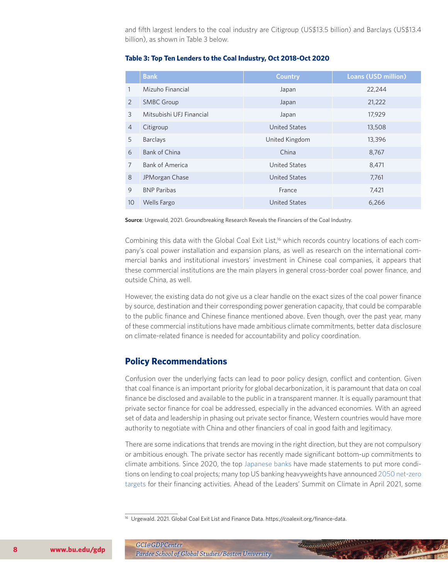and fifth largest lenders to the coal industry are Citigroup (US\$13.5 billion) and Barclays (US\$13.4 billion), as shown in Table 3 below.

|                | <b>Bank</b>              | <b>Country</b>       | <b>Loans (USD million)</b> |
|----------------|--------------------------|----------------------|----------------------------|
| 1              | Mizuho Financial         | Japan                | 22,244                     |
| 2              | <b>SMBC Group</b>        | Japan                | 21,222                     |
| 3              | Mitsubishi UFJ Financial | Japan                | 17,929                     |
| $\overline{4}$ | Citigroup                | <b>United States</b> | 13,508                     |
| 5              | Barclays                 | United Kingdom       | 13,396                     |
| 6              | <b>Bank of China</b>     | China                | 8,767                      |
| 7              | <b>Bank of America</b>   | United States        | 8,471                      |
| 8              | JPMorgan Chase           | <b>United States</b> | 7,761                      |
| 9              | <b>BNP Paribas</b>       | France               | 7,421                      |
| 10             | <b>Wells Fargo</b>       | <b>United States</b> | 6,266                      |

## **Table 3: Top Ten Lenders to the Coal Industry, Oct 2018-Oct 2020**

**Source**: Urgewald, 2021. Groundbreaking Research Reveals the Financiers of the Coal Industry.

Combining this data with the Global Coal Exit List,<sup>16</sup> which records country locations of each company's coal power installation and expansion plans, as well as research on the international commercial banks and institutional investors' investment in Chinese coal companies, it appears that these commercial institutions are the main players in general cross-border coal power finance, and outside China, as well.

However, the existing data do not give us a clear handle on the exact sizes of the coal power finance by source, destination and their corresponding power generation capacity, that could be comparable to the public finance and Chinese finance mentioned above. Even though, over the past year, many of these commercial institutions have made ambitious climate commitments, better data disclosure on climate-related finance is needed for accountability and policy coordination.

## **Policy Recommendations**

Confusion over the underlying facts can lead to poor policy design, conflict and contention. Given that coal finance is an important priority for global decarbonization, it is paramount that data on coal finance be disclosed and available to the public in a transparent manner. It is equally paramount that private sector finance for coal be addressed, especially in the advanced economies. With an agreed set of data and leadership in phasing out private sector finance, Western countries would have more authority to negotiate with China and other financiers of coal in good faith and legitimacy.

There are some indications that trends are moving in the right direction, but they are not compulsory or ambitious enough. The private sector has recently made significant bottom-up commitments to climate ambitions. Since 2020, the top [Japanese banks](https://www.gtreview.com/news/sustainability/japans-plan-to-curb-coal-plant-lending-has-major-loopholes/) have made statements to put more conditions on lending to coal projects; many top US banking heavyweights have announced [2050 net-zero](https://rmi.org/financing-1-5c-contextualizing-wall-streets-latest-climate-commitments/) [targets](https://rmi.org/financing-1-5c-contextualizing-wall-streets-latest-climate-commitments/) for their financing activities. Ahead of the Leaders' Summit on Climate in April 2021, some

Recommended !!!

<sup>&</sup>lt;sup>16</sup> Urgewald. 2021. Global Coal Exit List and Finance Data. https://coalexit.org/finance-data.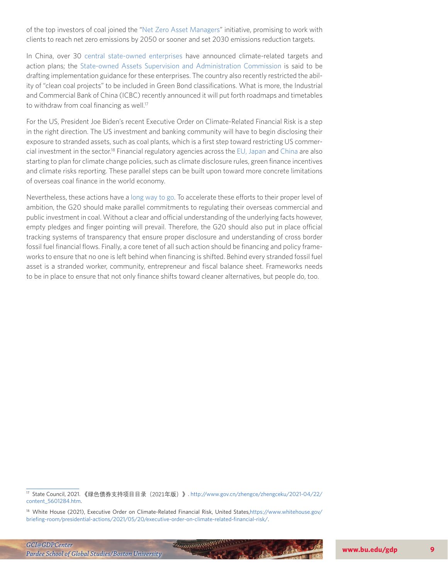of the top investors of coal joined the ["Net Zero Asset Managers"](https://www.netzeroassetmanagers.org/the-net-zero-asset-managers-initiative-grows-to-87-investors-managing-37-trillion-with-the-worlds-three-largest-asset-managers-now-committing-to-net-zero-goal) initiative, promising to work with clients to reach net zero emissions by 2050 or sooner and set 2030 emissions reduction targets.

In China, over 30 [central state-owned enterprises](http://www.sfccn.com/2021/4-17/0OMDE0MDVfMTYzODI0OA.html) have announced climate-related targets and action plans; the [State-owned Assets Supervision and Administration Commission](http://www.sfccn.com/2021/4-17/0OMDE0MDVfMTYzODI0OA.html) is said to be drafting implementation guidance for these enterprises. The country also recently restricted the ability of "clean coal projects" to be included in Green Bond classifications. What is more, the Industrial and Commercial Bank of China (ICBC) recently announced it will put forth roadmaps and timetables to withdraw from coal financing as well.<sup>17</sup>

For the US, President Joe Biden's recent Executive Order on Climate-Related Financial Risk is a step in the right direction. The US investment and banking community will have to begin disclosing their exposure to stranded assets, such as coal plants, which is a first step toward restricting US commercial investment in the sector.18 Financial regulatory agencies across the [EU,](https://www.bloomberg.com/news/articles/2021-04-21/eu-wants-tougher-climate-disclosure-rules-as-firms-lag-behind) [Japan](https://asia.nikkei.com/Spotlight/Environment/Climate-Change/Japan-finance-watchdog-to-oversee-banks-climate-change-policies) and [China](http://www.xinhuanet.com/money/20210610/5aff3cd410564e9c9f815c456a335157/c.html) are also starting to plan for climate change policies, such as climate disclosure rules, green finance incentives and climate risks reporting. These parallel steps can be built upon toward more concrete limitations of overseas coal finance in the world economy.

Nevertheless, these actions have a [long way to go.](https://www.reuters.com/business/sustainable-business/eu-watchdog-signals-long-journey-banks-become-green-2021-05-21/) To accelerate these efforts to their proper level of ambition, the G20 should make parallel commitments to regulating their overseas commercial and public investment in coal. Without a clear and official understanding of the underlying facts however, empty pledges and finger pointing will prevail. Therefore, the G20 should also put in place official tracking systems of transparency that ensure proper disclosure and understanding of cross border fossil fuel financial flows. Finally, a core tenet of all such action should be financing and policy frameworks to ensure that no one is left behind when financing is shifted. Behind every stranded fossil fuel asset is a stranded worker, community, entrepreneur and fiscal balance sheet. Frameworks needs to be in place to ensure that not only finance shifts toward cleaner alternatives, but people do, too.

<sup>17</sup> State Council, 2021. 《绿色债券支持项目目录(2021年版)》. [http://www.gov.cn/zhengce/zhengceku/2021-04/22/](http://www.gov.cn/zhengce/zhengceku/2021-04/22/content_5601284.htm) [content\\_5601284.htm](http://www.gov.cn/zhengce/zhengceku/2021-04/22/content_5601284.htm).

<sup>18</sup> White House (2021), Executive Order on Climate-Related Financial Risk, United States,[https://www.whitehouse.gov/](https://www.whitehouse.gov/briefing-room/presidential-actions/2021/05/20/executive-order-on-climate-related-financial-risk/) [briefing-room/presidential-actions/2021/05/20/executive-order-on-climate-related-financial-risk/](https://www.whitehouse.gov/briefing-room/presidential-actions/2021/05/20/executive-order-on-climate-related-financial-risk/).